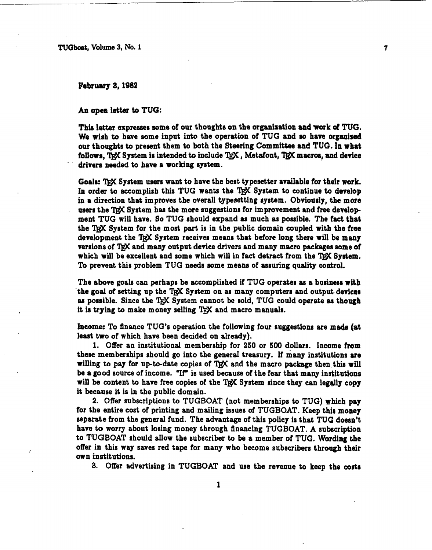TUGboat, Volume 3, No. 1

February 3, 1982

An open letter **to** TUG:

This latter expresser **nome** of our thoughts on the organisation **and** work **of** TUG. We wish to have some input into the operation of TUG and so have organized our thoughts to present them to bath the Steering Committee and TUG. **h wbat**  follows, TRX System is intended to include TRX, Metafont, TRX macros, and device drivers needed to have a working system.

7

Goals: TRX System users want to have the best typesetter available for their work. In order to accomplish this TUG wants the TEX System to continue to develop in a direction that improves the overall typesetting system. Obviously, the more users the TRX System has the more suggestions for improvement and free development TUG will have. So TUG should expand as much as possible. The fact that the TRX System for the most part is in the public domain coupled with the free development the TRX System receives means that before long there will be many versions of TRX and many output device drivers and many macro packages some of which will be excellent and some which will in fact detract from the TRX System. To prevent this problem TUG needs some means of assuring quality control.

The above goals can perhaps be accomplished if TUG operates **as** a business **with**  the goal of setting up the TRX System on as many computers and output devices as possible. Since the *l@C* System cannot be sold, TUG could operate **as** though it is trying to make money selling TRX and macro manuals.

**Income:** To finance TUG'S operation the following four suggestions are made (at least two of which have been decided on already).

1. Offer an institutional membership for 250 or 500 dollars. Income from these memberships should go into the general treasury. If many institutions **ore**  willing to pay for up-to-date copies of  $T_{\rm F}X$  and the macro package then this will be a good source of income. "If" is used because of the fear that many institutions will be content to have free copies of the T<sub>RX</sub> System since they can legally copy it because it is in the public domain.

2. Offer subscriptions to TUGBOAT (not memberships to TUG) which pay for the entire cost of printing and mailing issues of TUGBOAT. Keep this money separate from the general fund. The advantage of this policy is that **TUG** doesn't have to worry about losing money through financing TUGBOAT. A subscription to TUGBOAT should allow the subscriber to be a member of **TUG.** Wording the offer in this way saves red tape for many who become subscribers through their own institutions.

3. Offer advertising in **TUGBOAT** and use the revenue to keep the costs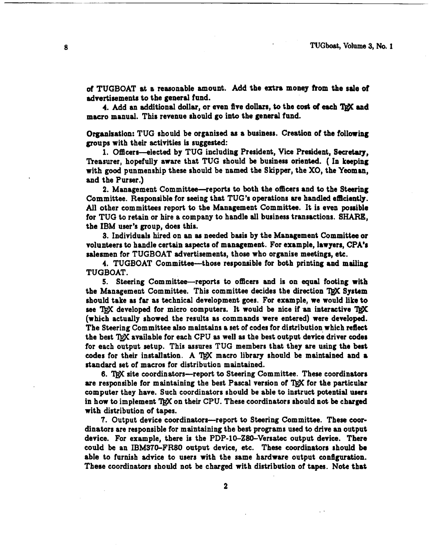**of** TUGBOAT st a reasonable amount. Add the **extra** money from the sale of advertisements to the general fund.

4. Add an additional dollar, or even five dollars, to the cost of each TRX and macro manual. This revenue should go into the general fund.

Organization: TUG should be organized as a business. Creation of the following groups with their activities is suggested:

1. Ofecera-elected by TUG including President, Vice President, **Secretary,**  Treasurer, hopefully aware that TUG should be business oriented. (In keeping with good punmenrhip these should be named the Skipper, the **XO,** the Yeoman, and the Purser.)

2. Management Committee--reports to both the oflicers and **to** the Steering Committee. Responsible for seeing that TUG's operations are handled efficiently. All other committees report to the Management Committee. It is even possible for TUG to retain or hire a company to handle all business transactions. SHARE, the **IBM** user's group, does this.

3. Individual8 hired on an **aa** needed basir by the Management Committee or volunteers to handle certain aspects of management. For example, lawyers, CPA's salesmen for TUGBOAT advertisements, those who organise meetings, etc.

4. TUGBOAT Committee-those responsible for both printing and mailing TUGBOAT.

5. Steering Committee-reports to officers and is on equal footing with the Management Committee. This committee decides the direction TRX System should take as far as technical development goes. For example, we would like to see TRX developed for micro computers. It would be nice if an interactive TRX (which actually showed the results as commands were entered) were developed. The Steering Committee aIso maintains a set of codes for distribution which reflect the best TRX available for each CPU as well as the best output device driver codes for each output setup. This assures TUG members that they are using the beat codes for their installation. A TRX macro library should be maintained and a standard aet of macros for distribution maintained.

**6.** site coordinators-report to Steering Committee. These coordinators are responsible for maintaining the best Pascal version of TrX for the particular computer they have. Such coordinators should be able to instruct potential **userr**  in how to implement TEX on their CPU. These coordinators should not be charged with distribution of tapes.

7. Output device coordinators—report to Steering Committee. These coordinators are responsible for maintaining the **best** programs used to drive an output device. For example, there is the PDP-10-280-Versatec output device. There could be an IBM370-FR80 output device, etc. These coordinators should be able to furnish advice to users with the same hardware output configuration. These coordinators should not be charged with distribution of tapes. Note that

 $\boldsymbol{2}$